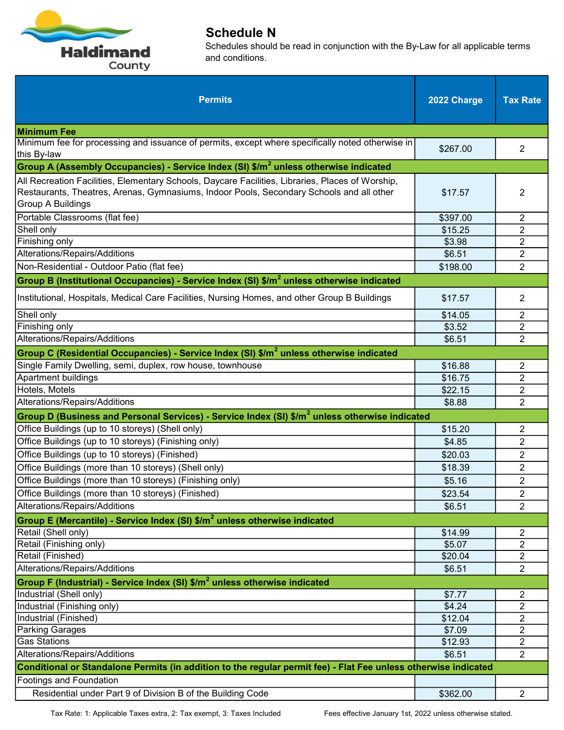

| <b>Permits</b>                                                                                                                                                                                                    | 2022 Charge | <b>Tax Rate</b> |
|-------------------------------------------------------------------------------------------------------------------------------------------------------------------------------------------------------------------|-------------|-----------------|
| <b>Minimum Fee</b>                                                                                                                                                                                                |             |                 |
| Minimum fee for processing and issuance of permits, except where specifically noted otherwise in<br>this By-law                                                                                                   | \$267.00    | $\overline{2}$  |
| Group A (Assembly Occupancies) - Service Index (SI) \$/m <sup>2</sup> unless otherwise indicated                                                                                                                  |             |                 |
| All Recreation Facilities, Elementary Schools, Daycare Facilities, Libraries, Places of Worship,<br>Restaurants, Theatres, Arenas, Gymnasiums, Indoor Pools, Secondary Schools and all other<br>Group A Buildings | \$17.57     | 2               |
| Portable Classrooms (flat fee)                                                                                                                                                                                    | \$397.00    | 2               |
| Shell only                                                                                                                                                                                                        | \$15.25     | $\overline{2}$  |
| Finishing only                                                                                                                                                                                                    | \$3.98      | $\overline{2}$  |
| Alterations/Repairs/Additions                                                                                                                                                                                     | \$6.51      | $\overline{2}$  |
| Non-Residential - Outdoor Patio (flat fee)                                                                                                                                                                        | \$198.00    | $\overline{2}$  |
| Group B (Institutional Occupancies) - Service Index (SI) \$/m <sup>2</sup> unless otherwise indicated                                                                                                             |             |                 |
| Institutional, Hospitals, Medical Care Facilities, Nursing Homes, and other Group B Buildings                                                                                                                     | \$17.57     | 2               |
| Shell only                                                                                                                                                                                                        | \$14.05     | $\overline{2}$  |
| Finishing only                                                                                                                                                                                                    | \$3.52      | $\overline{2}$  |
| Alterations/Repairs/Additions                                                                                                                                                                                     | \$6.51      | $\overline{2}$  |
| Group C (Residential Occupancies) - Service Index (SI) \$/m <sup>2</sup> unless otherwise indicated                                                                                                               |             |                 |
| Single Family Dwelling, semi, duplex, row house, townhouse                                                                                                                                                        | \$16.88     | 2               |
| Apartment buildings                                                                                                                                                                                               | \$16.75     | $\overline{2}$  |
| Hotels, Motels                                                                                                                                                                                                    | \$22.15     | $\overline{2}$  |
| Alterations/Repairs/Additions                                                                                                                                                                                     | \$8.88      | $\overline{2}$  |
| Group D (Business and Personal Services) - Service Index (SI) \$/m <sup>2</sup> unless otherwise indicated                                                                                                        |             |                 |
| Office Buildings (up to 10 storeys) (Shell only)                                                                                                                                                                  | \$15.20     | 2               |
| Office Buildings (up to 10 storeys) (Finishing only)                                                                                                                                                              | \$4.85      | $\overline{2}$  |
| Office Buildings (up to 10 storeys) (Finished)                                                                                                                                                                    | \$20.03     | $\overline{2}$  |
| Office Buildings (more than 10 storeys) (Shell only)                                                                                                                                                              | \$18.39     | $\overline{2}$  |
| Office Buildings (more than 10 storeys) (Finishing only)                                                                                                                                                          | \$5.16      | $\overline{2}$  |
| Office Buildings (more than 10 storeys) (Finished)                                                                                                                                                                | \$23.54     | 2               |
| Alterations/Repairs/Additions                                                                                                                                                                                     | \$6.51      | $\overline{2}$  |
| Group E (Mercantile) - Service Index (SI) $\frac{m^2}{2}$ unless otherwise indicated                                                                                                                              |             |                 |
| Retail (Shell only)                                                                                                                                                                                               | \$14.99     | 2               |
| Retail (Finishing only)                                                                                                                                                                                           | \$5.07      | $\overline{2}$  |
| Retail (Finished)                                                                                                                                                                                                 | \$20.04     | $\overline{2}$  |
| Alterations/Repairs/Additions                                                                                                                                                                                     | \$6.51      | $\overline{2}$  |
| Group F (Industrial) - Service Index (SI) \$/m <sup>2</sup> unless otherwise indicated                                                                                                                            |             |                 |
| Industrial (Shell only)                                                                                                                                                                                           | \$7.77      | $\overline{c}$  |
| Industrial (Finishing only)                                                                                                                                                                                       | \$4.24      | $\overline{2}$  |
| Industrial (Finished)                                                                                                                                                                                             | \$12.04     | $\overline{2}$  |
| <b>Parking Garages</b>                                                                                                                                                                                            | \$7.09      | $\overline{2}$  |
| <b>Gas Stations</b>                                                                                                                                                                                               | \$12.93     | $\overline{2}$  |
| Alterations/Repairs/Additions                                                                                                                                                                                     | \$6.51      | $\overline{2}$  |
| Conditional or Standalone Permits (in addition to the regular permit fee) - Flat Fee unless otherwise indicated                                                                                                   |             |                 |
| Footings and Foundation                                                                                                                                                                                           |             |                 |
| Residential under Part 9 of Division B of the Building Code                                                                                                                                                       | \$362.00    | $\overline{2}$  |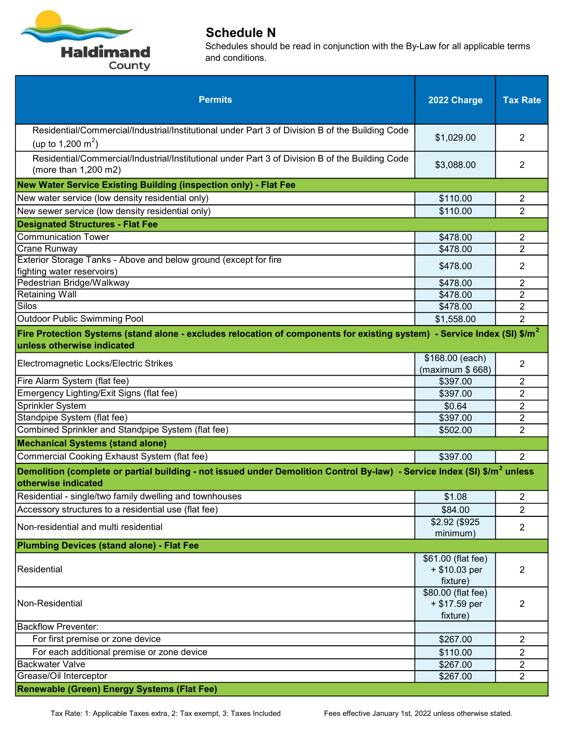

| <b>Permits</b>                                                                                                                                                     | 2022 Charge                                     | <b>Tax Rate</b> |
|--------------------------------------------------------------------------------------------------------------------------------------------------------------------|-------------------------------------------------|-----------------|
| Residential/Commercial/Industrial/Institutional under Part 3 of Division B of the Building Code<br>(up to 1,200 m <sup>2</sup> )                                   | \$1,029.00                                      | 2               |
| Residential/Commercial/Industrial/Institutional under Part 3 of Division B of the Building Code<br>(more than 1,200 m2)                                            | \$3,088.00                                      | 2               |
| New Water Service Existing Building (inspection only) - Flat Fee                                                                                                   |                                                 |                 |
| New water service (low density residential only)                                                                                                                   | \$110.00                                        | $\overline{c}$  |
| New sewer service (low density residential only)                                                                                                                   | \$110.00                                        | $\overline{2}$  |
| <b>Designated Structures - Flat Fee</b>                                                                                                                            |                                                 |                 |
| <b>Communication Tower</b>                                                                                                                                         | \$478.00                                        | 2               |
| Crane Runway                                                                                                                                                       | \$478.00                                        | $\overline{2}$  |
| Exterior Storage Tanks - Above and below ground (except for fire<br>fighting water reservoirs)                                                                     | \$478.00                                        | 2               |
| Pedestrian Bridge/Walkway                                                                                                                                          | \$478.00                                        | $\overline{c}$  |
| <b>Retaining Wall</b>                                                                                                                                              | \$478.00                                        | $\overline{2}$  |
| Silos                                                                                                                                                              | \$478.00                                        | $\overline{2}$  |
| <b>Outdoor Public Swimming Pool</b>                                                                                                                                | \$1,558.00                                      | $\overline{2}$  |
| Fire Protection Systems (stand alone - excludes relocation of components for existing system) - Service Index (SI) $$/m^2$<br>unless otherwise indicated           |                                                 |                 |
| Electromagnetic Locks/Electric Strikes                                                                                                                             | \$168.00 (each)<br>(maximum \$668)              | $\overline{2}$  |
| Fire Alarm System (flat fee)                                                                                                                                       | \$397.00                                        | 2               |
| Emergency Lighting/Exit Signs (flat fee)                                                                                                                           | \$397.00                                        | $\overline{2}$  |
| Sprinkler System                                                                                                                                                   | \$0.64                                          | $\overline{2}$  |
| Standpipe System (flat fee)                                                                                                                                        | \$397.00                                        | $\overline{2}$  |
| Combined Sprinkler and Standpipe System (flat fee)                                                                                                                 | \$502.00                                        | $\overline{2}$  |
| <b>Mechanical Systems (stand alone)</b>                                                                                                                            |                                                 |                 |
| Commercial Cooking Exhaust System (flat fee)                                                                                                                       | \$397.00                                        | $\overline{2}$  |
| <b>Demolition (complete or partial building - not issued under Demolition Control By-law)</b> - Service Index (SI) \$/m <sup>2</sup> unless<br>otherwise indicated |                                                 |                 |
| Residential - single/two family dwelling and townhouses                                                                                                            | \$1.08                                          | 2               |
| Accessory structures to a residential use (flat fee)                                                                                                               | \$84.00                                         | $\overline{2}$  |
| Non-residential and multi residential                                                                                                                              | \$2.92 (\$925)<br>minimum)                      | $\overline{c}$  |
| <b>Plumbing Devices (stand alone) - Flat Fee</b>                                                                                                                   |                                                 |                 |
| Residential                                                                                                                                                        | \$61.00 (flat fee)<br>+ \$10.03 per<br>fixture) | 2               |
| Non-Residential                                                                                                                                                    | \$80.00 (flat fee)<br>+ \$17.59 per<br>fixture) | 2               |
| <b>Backflow Preventer:</b>                                                                                                                                         |                                                 |                 |
| For first premise or zone device                                                                                                                                   | \$267.00                                        | $\overline{2}$  |
| For each additional premise or zone device                                                                                                                         | \$110.00                                        | 2               |
| <b>Backwater Valve</b>                                                                                                                                             | \$267.00                                        | $\overline{c}$  |
| Grease/Oil Interceptor                                                                                                                                             | \$267.00                                        | $\overline{2}$  |
| Renewable (Green) Energy Systems (Flat Fee)                                                                                                                        |                                                 |                 |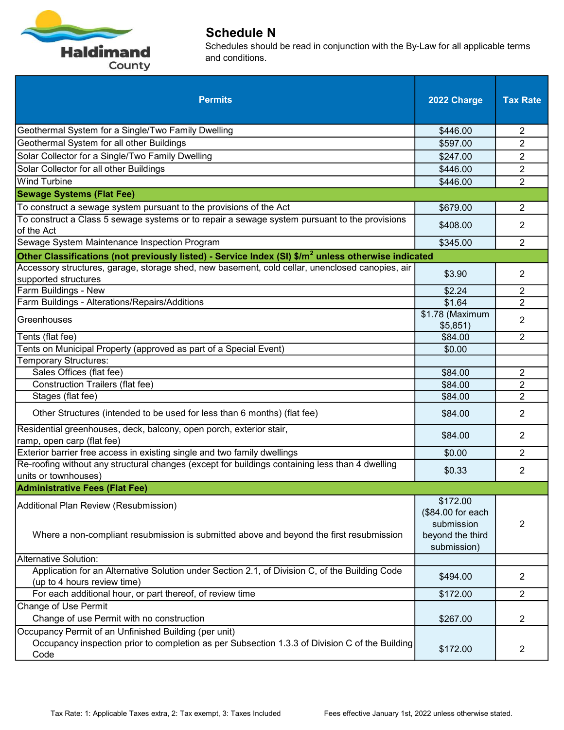

| <b>Permits</b>                                                                                                                                                  | 2022 Charge                                                                    | <b>Tax Rate</b> |
|-----------------------------------------------------------------------------------------------------------------------------------------------------------------|--------------------------------------------------------------------------------|-----------------|
| Geothermal System for a Single/Two Family Dwelling                                                                                                              | \$446.00                                                                       | 2               |
| Geothermal System for all other Buildings                                                                                                                       | \$597.00                                                                       | $\overline{2}$  |
| Solar Collector for a Single/Two Family Dwelling                                                                                                                | \$247.00                                                                       | $\overline{2}$  |
| Solar Collector for all other Buildings                                                                                                                         | \$446.00                                                                       | $\overline{2}$  |
| <b>Wind Turbine</b>                                                                                                                                             | \$446.00                                                                       | $\overline{2}$  |
| <b>Sewage Systems (Flat Fee)</b>                                                                                                                                |                                                                                |                 |
| To construct a sewage system pursuant to the provisions of the Act                                                                                              | \$679.00                                                                       | $\overline{2}$  |
| To construct a Class 5 sewage systems or to repair a sewage system pursuant to the provisions<br>of the Act                                                     | \$408.00                                                                       | 2               |
| Sewage System Maintenance Inspection Program                                                                                                                    | \$345.00                                                                       | $\overline{2}$  |
| Other Classifications (not previously listed) - Service Index (SI) $\frac{1}{2}$ unless otherwise indicated                                                     |                                                                                |                 |
| Accessory structures, garage, storage shed, new basement, cold cellar, unenclosed canopies, air<br>supported structures                                         | \$3.90                                                                         | $\overline{2}$  |
| Farm Buildings - New                                                                                                                                            | \$2.24                                                                         | $\overline{c}$  |
| Farm Buildings - Alterations/Repairs/Additions                                                                                                                  | \$1.64                                                                         | $\overline{2}$  |
| Greenhouses                                                                                                                                                     | \$1.78 (Maximum<br>\$5,851)                                                    | 2               |
| Tents (flat fee)                                                                                                                                                | \$84.00                                                                        | $\overline{2}$  |
| Tents on Municipal Property (approved as part of a Special Event)                                                                                               | \$0.00                                                                         |                 |
| <b>Temporary Structures:</b>                                                                                                                                    |                                                                                |                 |
| Sales Offices (flat fee)                                                                                                                                        | \$84.00                                                                        | $\overline{c}$  |
| <b>Construction Trailers (flat fee)</b>                                                                                                                         | \$84.00                                                                        | $\overline{2}$  |
| Stages (flat fee)                                                                                                                                               | \$84.00                                                                        | $\overline{2}$  |
| Other Structures (intended to be used for less than 6 months) (flat fee)                                                                                        | \$84.00                                                                        | $\overline{2}$  |
| Residential greenhouses, deck, balcony, open porch, exterior stair,<br>ramp, open carp (flat fee)                                                               | \$84.00                                                                        | 2               |
| Exterior barrier free access in existing single and two family dwellings                                                                                        | \$0.00                                                                         | $\overline{2}$  |
| Re-roofing without any structural changes (except for buildings containing less than 4 dwelling<br>units or townhouses)                                         | \$0.33                                                                         | $\overline{2}$  |
| <b>Administrative Fees (Flat Fee)</b>                                                                                                                           |                                                                                |                 |
| Additional Plan Review (Resubmission)<br>Where a non-compliant resubmission is submitted above and beyond the first resubmission                                | \$172.00<br>(\$84.00 for each<br>submission<br>beyond the third<br>submission) | 2               |
| <b>Alternative Solution:</b>                                                                                                                                    |                                                                                |                 |
| Application for an Alternative Solution under Section 2.1, of Division C, of the Building Code<br>(up to 4 hours review time)                                   | \$494.00                                                                       | 2               |
| For each additional hour, or part thereof, of review time                                                                                                       | \$172.00                                                                       | $\overline{2}$  |
| <b>Change of Use Permit</b>                                                                                                                                     |                                                                                |                 |
| Change of use Permit with no construction                                                                                                                       | \$267.00                                                                       | $\overline{2}$  |
| Occupancy Permit of an Unfinished Building (per unit)<br>Occupancy inspection prior to completion as per Subsection 1.3.3 of Division C of the Building<br>Code | \$172.00                                                                       | $\overline{2}$  |